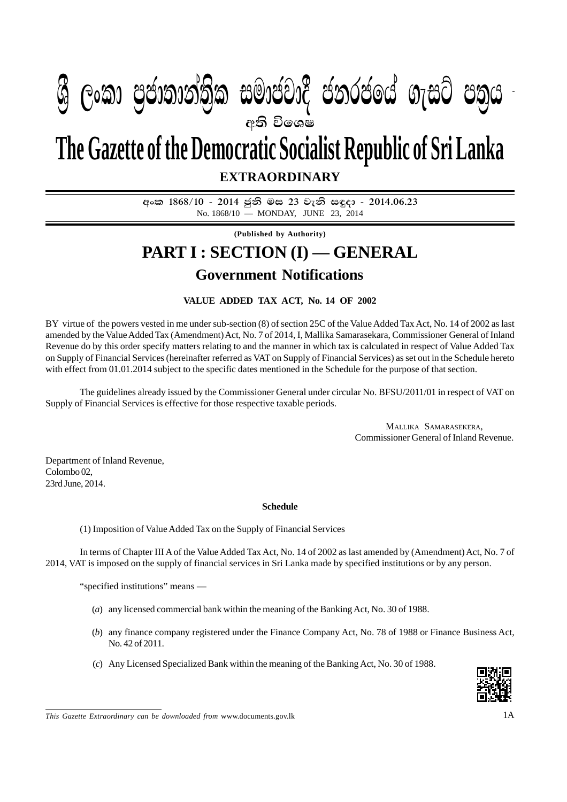### $\mathbf{A} \qquad \mathbf{A} \qquad \mathbf{A} \qquad \mathbf{A} \qquad \mathbf{A} \qquad \mathbf{A} \qquad \mathbf{A} \qquad \mathbf{A} \qquad \mathbf{A} \qquad \mathbf{A} \qquad \mathbf{A} \qquad \mathbf{A} \qquad \mathbf{A} \qquad \mathbf{A} \qquad \mathbf{A} \qquad \mathbf{A} \qquad \mathbf{A} \qquad \mathbf{A} \qquad \mathbf{A} \qquad \mathbf{A} \qquad \mathbf{A} \qquad \mathbf{A} \qquad \mathbf{A} \qquad \mathbf{A} \qquad \mathbf{$  $\mathcal{P}_{\mathcal{P}_{\mathcal{P}_{\mathcal{P}_{\mathcal{P}}}}^{*}}$  . Second constraint  $\mathcal{P}_{\mathcal{P}_{\mathcal{P}_{\mathcal{P}_{\mathcal{P}}}}^{*}}$  and  $\mathcal{P}_{\mathcal{P}_{\mathcal{P}_{\mathcal{P}_{\mathcal{P}}}}^{*}}$  . Second constraint  $\mathcal{P}_{\mathcal{P}_{\mathcal{P}_{\mathcal{P}}}}^{*}$  and  $\mathcal{P}_{\mathcal{P}_{\mathcal{P}_{\mathcal{P}}}}^{*}$  අති වි**ශෙෂ W** Gordang) m manggic gologom nim obja

# **The Gazette of the Democratic Socialist Republic of Sri Lanka**

**EXTRAORDINARY**

අංක 1868/10 - 2014 ජුනි මස 23 වැනි සඳුදා - 2014.06.23 No. 1868/10 — MONDAY, JUNE 23, 2014

**(Published by Authority)**

## **PART I : SECTION (I) — GENERAL Government Notifications**

#### **VALUE ADDED TAX ACT, No. 14 OF 2002**

BY virtue of the powers vested in me under sub-section (8) of section 25C of the Value Added Tax Act, No. 14 of 2002 as last amended by the Value Added Tax (Amendment) Act, No. 7 of 2014, I, Mallika Samarasekara, Commissioner General of Inland Revenue do by this order specify matters relating to and the manner in which tax is calculated in respect of Value Added Tax on Supply of Financial Services (hereinafter referred as VAT on Supply of Financial Services) as set out in the Schedule hereto with effect from 01.01.2014 subject to the specific dates mentioned in the Schedule for the purpose of that section.

The guidelines already issued by the Commissioner General under circular No. BFSU/2011/01 in respect of VAT on Supply of Financial Services is effective for those respective taxable periods.

> MALLIKA SAMARASEKERA, Commissioner General of Inland Revenue.

Department of Inland Revenue, Colombo 02, 23rd June, 2014.

#### **Schedule**

(1) Imposition of Value Added Tax on the Supply of Financial Services

In terms of Chapter III A of the Value Added Tax Act, No. 14 of 2002 as last amended by (Amendment) Act, No. 7 of 2014, VAT is imposed on the supply of financial services in Sri Lanka made by specified institutions or by any person.

"specified institutions" means —

- (*a*) any licensed commercial bank within the meaning of the Banking Act, No. 30 of 1988.
- (*b*) any finance company registered under the Finance Company Act, No. 78 of 1988 or Finance Business Act, No. 42 of 2011.
- (*c*) Any Licensed Specialized Bank within the meaning of the Banking Act, No. 30 of 1988.



*This Gazette Extraordinary can be downloaded from* www.documents.gov.lk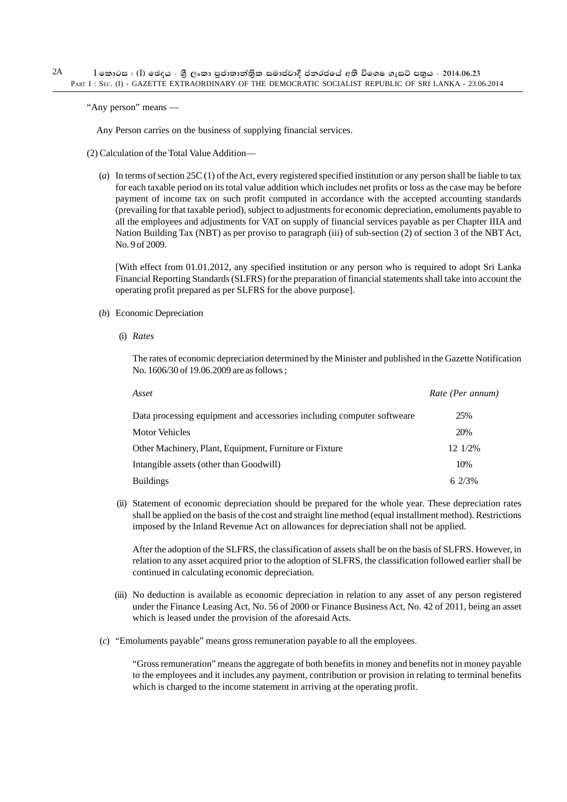"Any person" means —

Any Person carries on the business of supplying financial services.

- (2) Calculation of the Total Value Addition—
	- (*a*) In terms of section 25C (1) of the Act, every registered specified institution or any person shall be liable to tax for each taxable period on its total value addition which includes net profits or loss as the case may be before payment of income tax on such profit computed in accordance with the accepted accounting standards (prevailing for that taxable period), subject to adjustments for economic depreciation, emoluments payable to all the employees and adjustments for VAT on supply of financial services payable as per Chapter IIIA and Nation Building Tax (NBT) as per proviso to paragraph (iii) of sub-section (2) of section 3 of the NBT Act, No. 9 of 2009.

[With effect from 01.01.2012, any specified institution or any person who is required to adopt Sri Lanka Financial Reporting Standards (SLFRS) for the preparation of financial statements shall take into account the operating profit prepared as per SLFRS for the above purpose].

#### (*b*) Economic Depreciation

(i) *Rates*

The rates of economic depreciation determined by the Minister and published in the Gazette Notification No. 1606/30 of 19.06.2009 are as follows ;

| Asset                                                                  | Rate (Per annum) |
|------------------------------------------------------------------------|------------------|
| Data processing equipment and accessories including computer softweare | 25%              |
| <b>Motor Vehicles</b>                                                  | 20%              |
| Other Machinery, Plant, Equipment, Furniture or Fixture                | 12 1/2%          |
| Intangible assets (other than Goodwill)                                | 10%              |
| <b>Buildings</b>                                                       | 62/3%            |

(ii) Statement of economic depreciation should be prepared for the whole year. These depreciation rates shall be applied on the basis of the cost and straight line method (equal installment method). Restrictions imposed by the Inland Revenue Act on allowances for depreciation shall not be applied.

After the adoption of the SLFRS, the classification of assets shall be on the basis of SLFRS. However, in relation to any asset acquired prior to the adoption of SLFRS, the classification followed earlier shall be continued in calculating economic depreciation.

- (iii) No deduction is available as economic depreciation in relation to any asset of any person registered under the Finance Leasing Act, No. 56 of 2000 or Finance Business Act, No. 42 of 2011, being an asset which is leased under the provision of the aforesaid Acts.
- (*c*) "Emoluments payable" means gross remuneration payable to all the employees.

"Gross remuneration" means the aggregate of both benefits in money and benefits not in money payable to the employees and it includes any payment, contribution or provision in relating to terminal benefits which is charged to the income statement in arriving at the operating profit.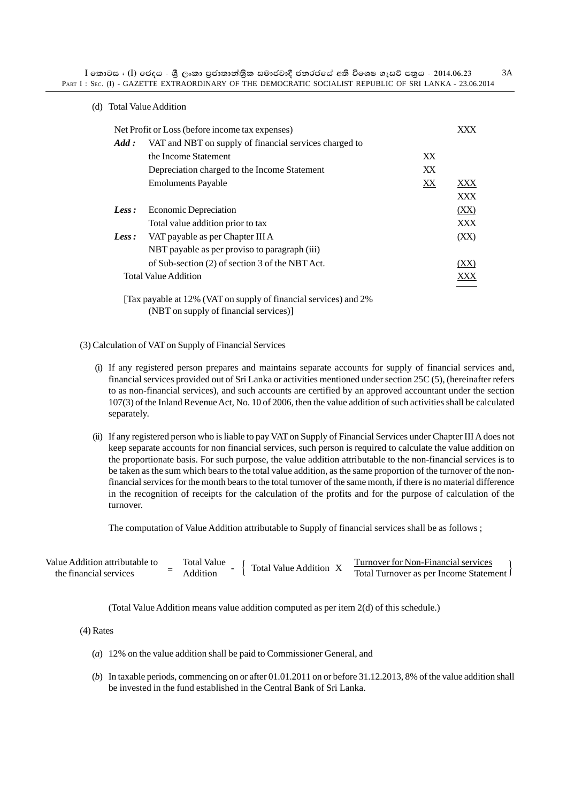$I$  කොටස : (I) ඡෙදය - ශුී ලංකා පුජාතාන්තිුක සමාජවාදී ජනරජයේ අති විශෙෂ ගැසට් පතුය - 2014.06.23 <sup>3A</sup> PART I: SEC. (I) - GAZETTE EXTRAORDINARY OF THE DEMOCRATIC SOCIALIST REPUBLIC OF SRI LANKA - 23.06.2014

(d) Total Value Addition

| Net Profit or Loss (before income tax expenses) |                                                                                                          |        |            |  |
|-------------------------------------------------|----------------------------------------------------------------------------------------------------------|--------|------------|--|
| Add:                                            | VAT and NBT on supply of financial services charged to                                                   |        |            |  |
|                                                 | the Income Statement                                                                                     | XX     |            |  |
|                                                 | Depreciation charged to the Income Statement                                                             | XX     |            |  |
|                                                 | <b>Emoluments Payable</b>                                                                                | $X\!X$ | XXX        |  |
|                                                 |                                                                                                          |        | <b>XXX</b> |  |
| Less:                                           | <b>Economic Depreciation</b>                                                                             |        | (XX)       |  |
|                                                 | Total value addition prior to tax                                                                        |        | <b>XXX</b> |  |
| Less:                                           | VAT payable as per Chapter III A                                                                         |        | (XX)       |  |
|                                                 | NBT payable as per proviso to paragraph (iii)                                                            |        |            |  |
|                                                 | of Sub-section (2) of section 3 of the NBT Act.                                                          |        | (XX)       |  |
|                                                 | <b>Total Value Addition</b>                                                                              |        | XXX        |  |
|                                                 | $\mathbf{F}$ = 1.1 $\pm$ 100 $\sqrt{11}$ = 1 $\pm$ $\mathbf{C}$ = 1 $\pm$ $\mathbf{C}$ = 1 $\pm$ 1 $\pm$ |        |            |  |

[Tax payable at 12% (VAT on supply of financial services) and 2% (NBT on supply of financial services)]

(3) Calculation of VAT on Supply of Financial Services

- (i) If any registered person prepares and maintains separate accounts for supply of financial services and, financial services provided out of Sri Lanka or activities mentioned under section 25C (5), (hereinafter refers to as non-financial services), and such accounts are certified by an approved accountant under the section 107(3) of the Inland Revenue Act, No. 10 of 2006, then the value addition of such activities shall be calculated separately.
- (ii) If any registered person who is liable to pay VAT on Supply of Financial Services under Chapter III A does not keep separate accounts for non financial services, such person is required to calculate the value addition on the proportionate basis. For such purpose, the value addition attributable to the non-financial services is to be taken as the sum which bears to the total value addition, as the same proportion of the turnover of the nonfinancial services for the month bears to the total turnover of the same month, if there is no material difference in the recognition of receipts for the calculation of the profits and for the purpose of calculation of the turnover.

The computation of Value Addition attributable to Supply of financial services shall be as follows ;

| Value Addition attributable to | <b>Total Value</b> |  | Total Value Addition $\lambda$ | Turnover for Non-Financial services      |
|--------------------------------|--------------------|--|--------------------------------|------------------------------------------|
| the financial services         | <b>Addition</b>    |  |                                | Total Turnover as per Income Statement J |

(Total Value Addition means value addition computed as per item 2(d) of this schedule.)

(4) Rates

- (*a*) 12% on the value addition shall be paid to Commissioner General, and
- (*b*) In taxable periods, commencing on or after 01.01.2011 on or before 31.12.2013, 8% of the value addition shall be invested in the fund established in the Central Bank of Sri Lanka.